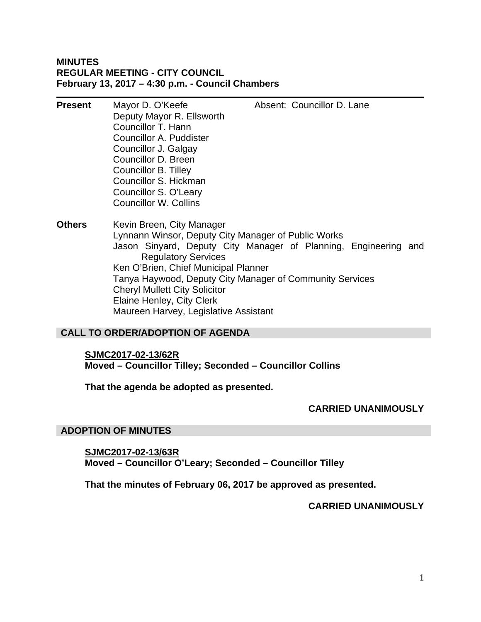### **MINUTES REGULAR MEETING - CITY COUNCIL February 13, 2017 – 4:30 p.m. - Council Chambers**

| <b>Present</b> | Mayor D. O'Keefe<br>Deputy Mayor R. Ellsworth<br>Councillor T. Hann<br>Councillor A. Puddister<br>Councillor J. Galgay<br>Councillor D. Breen<br>Councillor B. Tilley<br>Councillor S. Hickman<br>Councillor S. O'Leary<br><b>Councillor W. Collins</b> | Absent: Councillor D. Lane                                                                                                  |  |
|----------------|---------------------------------------------------------------------------------------------------------------------------------------------------------------------------------------------------------------------------------------------------------|-----------------------------------------------------------------------------------------------------------------------------|--|
| Others         | Kevin Breen, City Manager<br>Lynnann Winsor, Deputy City Manager of Public Works<br><b>Regulatory Services</b><br>Ken O'Brien, Chief Municipal Planner<br><b>Cheryl Mullett City Solicitor</b><br>Elaine Henley, City Clerk                             | Jason Sinyard, Deputy City Manager of Planning, Engineering and<br>Tanya Haywood, Deputy City Manager of Community Services |  |

### **CALL TO ORDER/ADOPTION OF AGENDA**

**SJMC2017-02-13/62R** 

**Moved – Councillor Tilley; Seconded – Councillor Collins** 

**That the agenda be adopted as presented.** 

Maureen Harvey, Legislative Assistant

### **CARRIED UNANIMOUSLY**

### **ADOPTION OF MINUTES**

**SJMC2017-02-13/63R Moved – Councillor O'Leary; Seconded – Councillor Tilley** 

**That the minutes of February 06, 2017 be approved as presented.** 

### **CARRIED UNANIMOUSLY**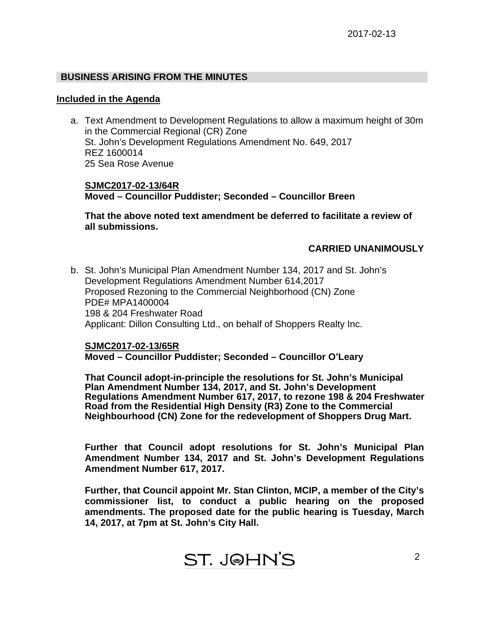# **BUSINESS ARISING FROM THE MINUTES**

### **Included in the Agenda**

a. Text Amendment to Development Regulations to allow a maximum height of 30m in the Commercial Regional (CR) Zone St. John's Development Regulations Amendment No. 649, 2017 REZ 1600014 25 Sea Rose Avenue

**SJMC2017-02-13/64R Moved – Councillor Puddister; Seconded – Councillor Breen** 

**That the above noted text amendment be deferred to facilitate a review of all submissions.** 

## **CARRIED UNANIMOUSLY**

b. St. John's Municipal Plan Amendment Number 134, 2017 and St. John's Development Regulations Amendment Number 614,2017 Proposed Rezoning to the Commercial Neighborhood (CN) Zone PDE# MPA1400004 198 & 204 Freshwater Road Applicant: Dillon Consulting Ltd., on behalf of Shoppers Realty Inc.

### **SJMC2017-02-13/65R**

## **Moved – Councillor Puddister; Seconded – Councillor O'Leary**

**That Council adopt-in-principle the resolutions for St. John's Municipal Plan Amendment Number 134, 2017, and St. John's Development Regulations Amendment Number 617, 2017, to rezone 198 & 204 Freshwater Road from the Residential High Density (R3) Zone to the Commercial Neighbourhood (CN) Zone for the redevelopment of Shoppers Drug Mart.** 

**Further that Council adopt resolutions for St. John's Municipal Plan Amendment Number 134, 2017 and St. John's Development Regulations Amendment Number 617, 2017.** 

**Further, that Council appoint Mr. Stan Clinton, MCIP, a member of the City's commissioner list, to conduct a public hearing on the proposed amendments. The proposed date for the public hearing is Tuesday, March 14, 2017, at 7pm at St. John's City Hall.**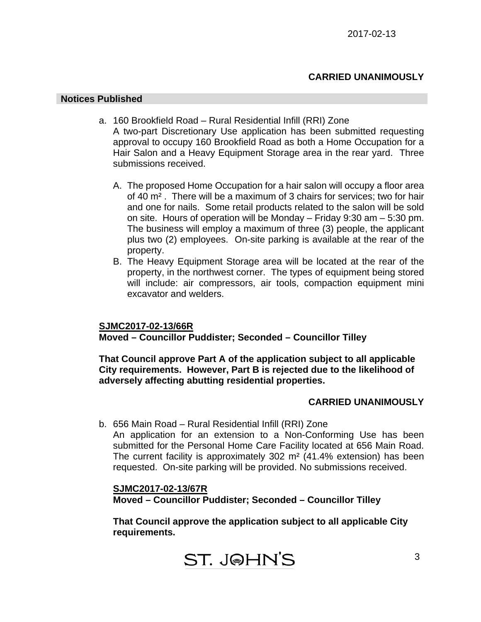## **CARRIED UNANIMOUSLY**

### **Notices Published**

- a. 160 Brookfield Road Rural Residential Infill (RRI) Zone A two-part Discretionary Use application has been submitted requesting approval to occupy 160 Brookfield Road as both a Home Occupation for a Hair Salon and a Heavy Equipment Storage area in the rear yard. Three submissions received.
	- A. The proposed Home Occupation for a hair salon will occupy a floor area of 40 m² . There will be a maximum of 3 chairs for services; two for hair and one for nails. Some retail products related to the salon will be sold on site. Hours of operation will be Monday – Friday 9:30 am – 5:30 pm. The business will employ a maximum of three (3) people, the applicant plus two (2) employees. On-site parking is available at the rear of the property.
	- B. The Heavy Equipment Storage area will be located at the rear of the property, in the northwest corner. The types of equipment being stored will include: air compressors, air tools, compaction equipment mini excavator and welders.

## **SJMC2017-02-13/66R**

**Moved – Councillor Puddister; Seconded – Councillor Tilley** 

**That Council approve Part A of the application subject to all applicable City requirements. However, Part B is rejected due to the likelihood of adversely affecting abutting residential properties.** 

### **CARRIED UNANIMOUSLY**

b. 656 Main Road – Rural Residential Infill (RRI) Zone

An application for an extension to a Non-Conforming Use has been submitted for the Personal Home Care Facility located at 656 Main Road. The current facility is approximately 302 m² (41.4% extension) has been requested. On-site parking will be provided. No submissions received.

**SJMC2017-02-13/67R Moved – Councillor Puddister; Seconded – Councillor Tilley** 

**That Council approve the application subject to all applicable City requirements.**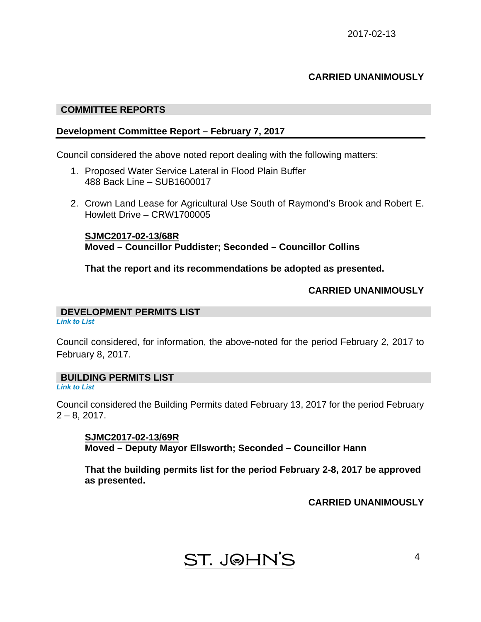# **CARRIED UNANIMOUSLY**

### **COMMITTEE REPORTS**

### **Development Committee Report – February 7, 2017**

Council considered the above noted report dealing with the following matters:

- 1. Proposed Water Service Lateral in Flood Plain Buffer 488 Back Line – SUB1600017
- 2. Crown Land Lease for Agricultural Use South of Raymond's Brook and Robert E. Howlett Drive – CRW1700005

**SJMC2017-02-13/68R Moved – Councillor Puddister; Seconded – Councillor Collins** 

**That the report and its recommendations be adopted as presented.** 

### **CARRIED UNANIMOUSLY**

# **DEVELOPMENT PERMITS LIST**

*Link to List* 

Council considered, for information, the above-noted for the period February 2, 2017 to February 8, 2017.

# **BUILDING PERMITS LIST**

*Link to List* 

Council considered the Building Permits dated February 13, 2017 for the period February  $2 - 8$ , 2017.

**SJMC2017-02-13/69R Moved – Deputy Mayor Ellsworth; Seconded – Councillor Hann** 

**That the building permits list for the period February 2-8, 2017 be approved as presented.** 

### **CARRIED UNANIMOUSLY**

# **ST. J@HN'S**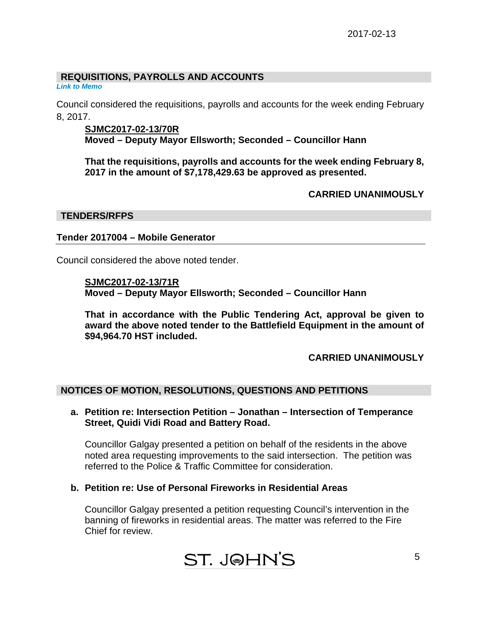# **REQUISITIONS, PAYROLLS AND ACCOUNTS**

*Link to Memo* 

Council considered the requisitions, payrolls and accounts for the week ending February 8, 2017.

## **SJMC2017-02-13/70R**

**Moved – Deputy Mayor Ellsworth; Seconded – Councillor Hann** 

**That the requisitions, payrolls and accounts for the week ending February 8, 2017 in the amount of \$7,178,429.63 be approved as presented.** 

 **CARRIED UNANIMOUSLY** 

## **TENDERS/RFPS**

## **Tender 2017004 – Mobile Generator**

Council considered the above noted tender.

### **SJMC2017-02-13/71R**

**Moved – Deputy Mayor Ellsworth; Seconded – Councillor Hann** 

**That in accordance with the Public Tendering Act, approval be given to award the above noted tender to the Battlefield Equipment in the amount of \$94,964.70 HST included.** 

# **CARRIED UNANIMOUSLY**

## **NOTICES OF MOTION, RESOLUTIONS, QUESTIONS AND PETITIONS**

**a. Petition re: Intersection Petition – Jonathan – Intersection of Temperance Street, Quidi Vidi Road and Battery Road.** 

Councillor Galgay presented a petition on behalf of the residents in the above noted area requesting improvements to the said intersection. The petition was referred to the Police & Traffic Committee for consideration.

**b. Petition re: Use of Personal Fireworks in Residential Areas** 

Councillor Galgay presented a petition requesting Council's intervention in the banning of fireworks in residential areas. The matter was referred to the Fire Chief for review.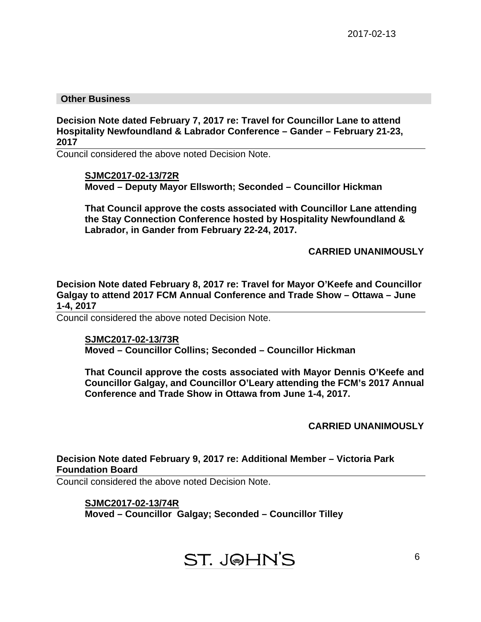### **Other Business**

**Decision Note dated February 7, 2017 re: Travel for Councillor Lane to attend Hospitality Newfoundland & Labrador Conference – Gander – February 21-23, 2017** 

Council considered the above noted Decision Note.

**SJMC2017-02-13/72R Moved – Deputy Mayor Ellsworth; Seconded – Councillor Hickman** 

**That Council approve the costs associated with Councillor Lane attending the Stay Connection Conference hosted by Hospitality Newfoundland & Labrador, in Gander from February 22-24, 2017.** 

**CARRIED UNANIMOUSLY**

**Decision Note dated February 8, 2017 re: Travel for Mayor O'Keefe and Councillor Galgay to attend 2017 FCM Annual Conference and Trade Show – Ottawa – June 1-4, 2017** 

Council considered the above noted Decision Note.

**SJMC2017-02-13/73R Moved – Councillor Collins; Seconded – Councillor Hickman** 

**That Council approve the costs associated with Mayor Dennis O'Keefe and Councillor Galgay, and Councillor O'Leary attending the FCM's 2017 Annual Conference and Trade Show in Ottawa from June 1-4, 2017.** 

**CARRIED UNANIMOUSLY**

# **Decision Note dated February 9, 2017 re: Additional Member – Victoria Park Foundation Board**

Council considered the above noted Decision Note.

## **SJMC2017-02-13/74R**

**Moved – Councillor Galgay; Seconded – Councillor Tilley** 

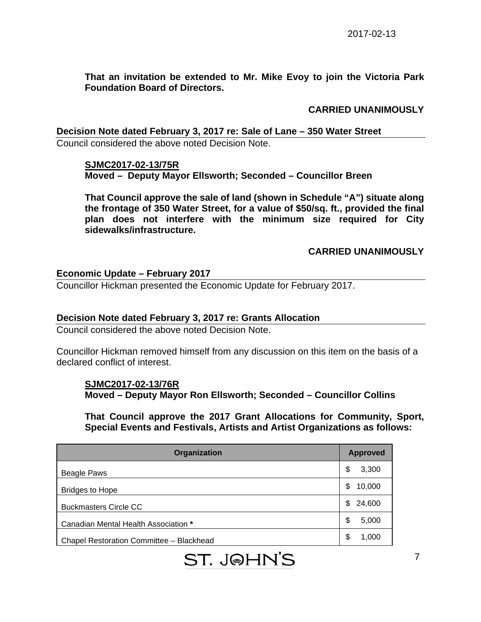**That an invitation be extended to Mr. Mike Evoy to join the Victoria Park Foundation Board of Directors.** 

## **CARRIED UNANIMOUSLY**

**Decision Note dated February 3, 2017 re: Sale of Lane – 350 Water Street**  Council considered the above noted Decision Note.

### **SJMC2017-02-13/75R**

**Moved – Deputy Mayor Ellsworth; Seconded – Councillor Breen** 

**That Council approve the sale of land (shown in Schedule "A") situate along the frontage of 350 Water Street, for a value of \$50/sq. ft., provided the final plan does not interfere with the minimum size required for City sidewalks/infrastructure.** 

## **CARRIED UNANIMOUSLY**

## **Economic Update – February 2017**

Councillor Hickman presented the Economic Update for February 2017.

## **Decision Note dated February 3, 2017 re: Grants Allocation**

Council considered the above noted Decision Note.

Councillor Hickman removed himself from any discussion on this item on the basis of a declared conflict of interest.

### **SJMC2017-02-13/76R**

**Moved – Deputy Mayor Ron Ellsworth; Seconded – Councillor Collins** 

**That Council approve the 2017 Grant Allocations for Community, Sport, Special Events and Festivals, Artists and Artist Organizations as follows:** 

| Organization                             | <b>Approved</b> |
|------------------------------------------|-----------------|
| Beagle Paws                              | \$<br>3,300     |
| <b>Bridges to Hope</b>                   | \$<br>10,000    |
| <b>Buckmasters Circle CC</b>             | 24,600<br>\$    |
| Canadian Mental Health Association *     | \$<br>5,000     |
| Chapel Restoration Committee - Blackhead | \$<br>1,000     |

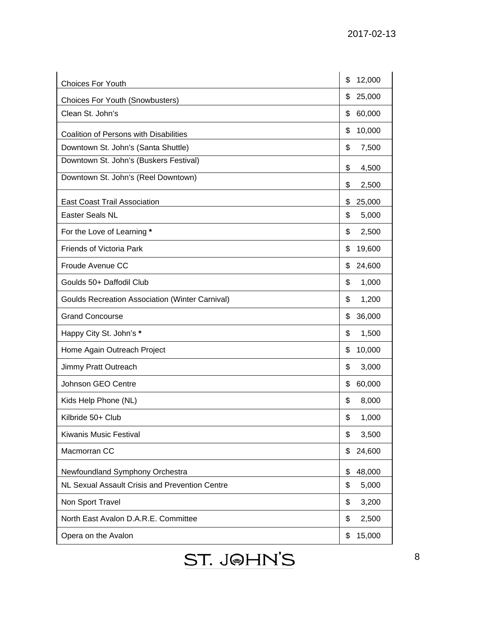| <b>Choices For Youth</b>                               | 12,000<br>\$ |
|--------------------------------------------------------|--------------|
| <b>Choices For Youth (Snowbusters)</b>                 | 25,000<br>\$ |
| Clean St. John's                                       | 60,000<br>\$ |
| <b>Coalition of Persons with Disabilities</b>          | 10,000<br>\$ |
| Downtown St. John's (Santa Shuttle)                    | \$<br>7,500  |
| Downtown St. John's (Buskers Festival)                 | \$<br>4,500  |
| Downtown St. John's (Reel Downtown)                    | \$<br>2,500  |
| <b>East Coast Trail Association</b>                    | \$<br>25,000 |
| Easter Seals NL                                        | \$<br>5,000  |
| For the Love of Learning *                             | \$<br>2,500  |
| Friends of Victoria Park                               | \$<br>19,600 |
| Froude Avenue CC                                       | 24,600<br>\$ |
| Goulds 50+ Daffodil Club                               | \$<br>1,000  |
| <b>Goulds Recreation Association (Winter Carnival)</b> | \$<br>1,200  |
| <b>Grand Concourse</b>                                 | \$<br>36,000 |
| Happy City St. John's *                                | \$<br>1,500  |
| Home Again Outreach Project                            | \$<br>10,000 |
| Jimmy Pratt Outreach                                   | \$<br>3,000  |
| Johnson GEO Centre                                     | 60,000<br>\$ |
| Kids Help Phone (NL)                                   | \$<br>8,000  |
| Kilbride 50+ Club                                      | \$<br>1,000  |
| Kiwanis Music Festival                                 | \$<br>3,500  |
| Macmorran CC                                           | \$<br>24,600 |
| Newfoundland Symphony Orchestra                        | \$<br>48,000 |
| NL Sexual Assault Crisis and Prevention Centre         | 5,000<br>\$  |
| Non Sport Travel                                       | \$<br>3,200  |
| North East Avalon D.A.R.E. Committee                   | \$<br>2,500  |
| Opera on the Avalon                                    | 15,000<br>\$ |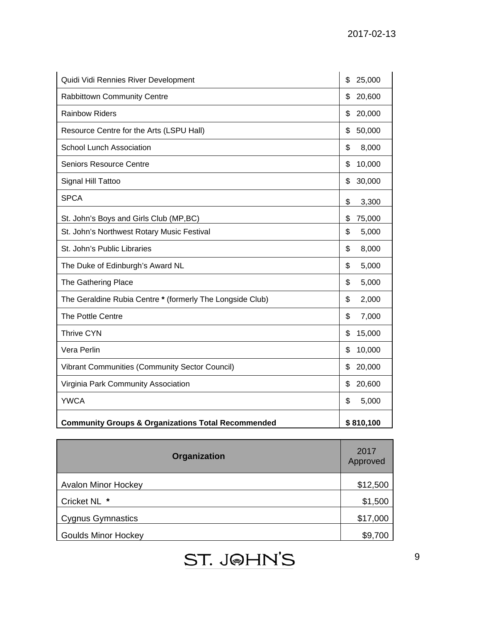| Quidi Vidi Rennies River Development                          | \$<br>25,000 |
|---------------------------------------------------------------|--------------|
| <b>Rabbittown Community Centre</b>                            | \$<br>20,600 |
| <b>Rainbow Riders</b>                                         | 20,000<br>\$ |
| Resource Centre for the Arts (LSPU Hall)                      | 50,000<br>\$ |
| <b>School Lunch Association</b>                               | 8,000<br>\$  |
| <b>Seniors Resource Centre</b>                                | 10,000<br>\$ |
| Signal Hill Tattoo                                            | 30,000<br>\$ |
| <b>SPCA</b>                                                   | \$<br>3,300  |
| St. John's Boys and Girls Club (MP,BC)                        | \$<br>75,000 |
| St. John's Northwest Rotary Music Festival                    | \$<br>5,000  |
| St. John's Public Libraries                                   | \$<br>8,000  |
| The Duke of Edinburgh's Award NL                              | \$<br>5,000  |
| The Gathering Place                                           | \$<br>5,000  |
| The Geraldine Rubia Centre * (formerly The Longside Club)     | \$<br>2,000  |
| The Pottle Centre                                             | \$<br>7,000  |
| <b>Thrive CYN</b>                                             | 15,000<br>\$ |
| Vera Perlin                                                   | 10,000<br>\$ |
| <b>Vibrant Communities (Community Sector Council)</b>         | 20,000<br>\$ |
| Virginia Park Community Association                           | \$<br>20,600 |
| <b>YWCA</b>                                                   | 5,000<br>\$  |
| <b>Community Groups &amp; Organizations Total Recommended</b> | \$810,100    |

| Organization               | 2017<br>Approved |
|----------------------------|------------------|
| <b>Avalon Minor Hockey</b> | \$12,500         |
| Cricket NL *               | \$1,500          |
| Cygnus Gymnastics          | \$17,000         |
| Goulds Minor Hockey        | \$9,700          |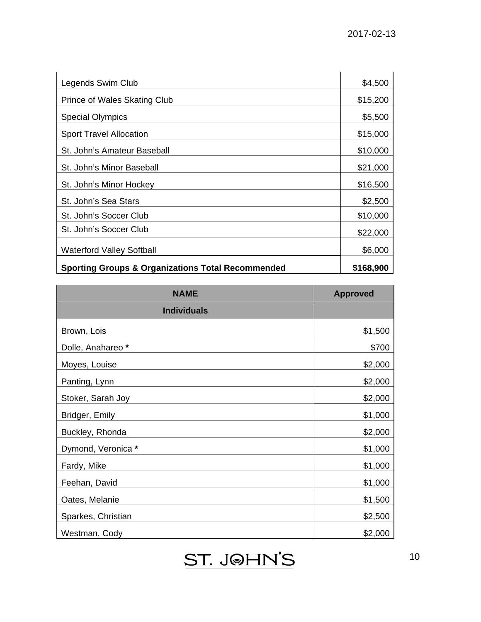| Legends Swim Club                                            | \$4,500   |
|--------------------------------------------------------------|-----------|
| <b>Prince of Wales Skating Club</b>                          | \$15,200  |
| <b>Special Olympics</b>                                      | \$5,500   |
| <b>Sport Travel Allocation</b>                               | \$15,000  |
| St. John's Amateur Baseball                                  | \$10,000  |
| St. John's Minor Baseball                                    | \$21,000  |
| St. John's Minor Hockey                                      | \$16,500  |
| St. John's Sea Stars                                         | \$2,500   |
| St. John's Soccer Club                                       | \$10,000  |
| St. John's Soccer Club                                       | \$22,000  |
| <b>Waterford Valley Softball</b>                             | \$6,000   |
| <b>Sporting Groups &amp; Organizations Total Recommended</b> | \$168,900 |

| <b>NAME</b>        | <b>Approved</b> |
|--------------------|-----------------|
| <b>Individuals</b> |                 |
| Brown, Lois        | \$1,500         |
| Dolle, Anahareo *  | \$700           |
| Moyes, Louise      | \$2,000         |
| Panting, Lynn      | \$2,000         |
| Stoker, Sarah Joy  | \$2,000         |
| Bridger, Emily     | \$1,000         |
| Buckley, Rhonda    | \$2,000         |
| Dymond, Veronica * | \$1,000         |
| Fardy, Mike        | \$1,000         |
| Feehan, David      | \$1,000         |
| Oates, Melanie     | \$1,500         |
| Sparkes, Christian | \$2,500         |
| Westman, Cody      | \$2,000         |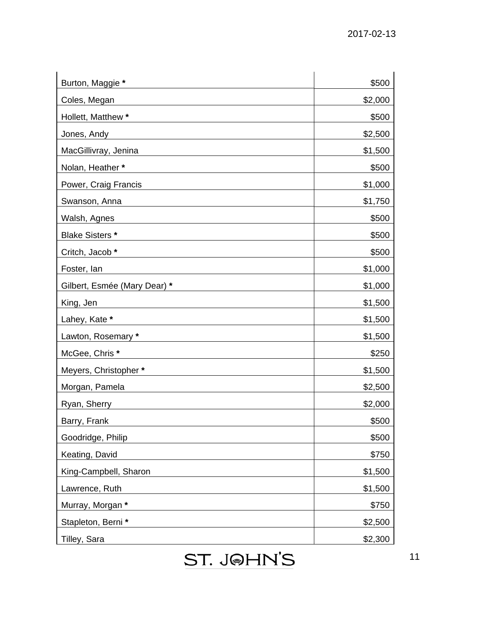| Burton, Maggie *             | \$500   |
|------------------------------|---------|
| Coles, Megan                 | \$2,000 |
| Hollett, Matthew *           | \$500   |
| Jones, Andy                  | \$2,500 |
| MacGillivray, Jenina         | \$1,500 |
| Nolan, Heather*              | \$500   |
| Power, Craig Francis         | \$1,000 |
| Swanson, Anna                | \$1,750 |
| Walsh, Agnes                 | \$500   |
| <b>Blake Sisters *</b>       | \$500   |
| Critch, Jacob *              | \$500   |
| Foster, lan                  | \$1,000 |
| Gilbert, Esmée (Mary Dear) * | \$1,000 |
| King, Jen                    | \$1,500 |
| Lahey, Kate *                | \$1,500 |
| Lawton, Rosemary *           | \$1,500 |
| McGee, Chris*                | \$250   |
| Meyers, Christopher*         | \$1,500 |
| Morgan, Pamela               | \$2,500 |
| Ryan, Sherry                 | \$2,000 |
| Barry, Frank                 | \$500   |
| Goodridge, Philip            | \$500   |
| Keating, David               | \$750   |
| King-Campbell, Sharon        | \$1,500 |
| Lawrence, Ruth               | \$1,500 |
| Murray, Morgan *             | \$750   |
| Stapleton, Berni*            | \$2,500 |
| Tilley, Sara                 | \$2,300 |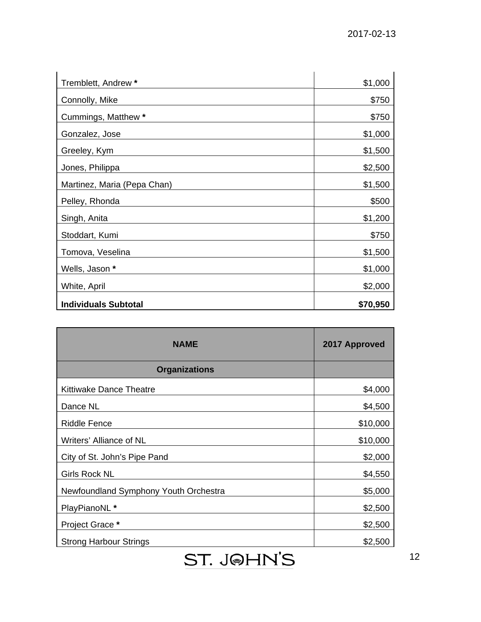| Tremblett, Andrew *         | \$1,000  |
|-----------------------------|----------|
| Connolly, Mike              | \$750    |
| Cummings, Matthew *         | \$750    |
| Gonzalez, Jose              | \$1,000  |
| Greeley, Kym                | \$1,500  |
| Jones, Philippa             | \$2,500  |
| Martinez, Maria (Pepa Chan) | \$1,500  |
| Pelley, Rhonda              | \$500    |
| Singh, Anita                | \$1,200  |
| Stoddart, Kumi              | \$750    |
| Tomova, Veselina            | \$1,500  |
| Wells, Jason *              | \$1,000  |
| White, April                | \$2,000  |
| <b>Individuals Subtotal</b> | \$70,950 |

| <b>NAME</b>                           | 2017 Approved |
|---------------------------------------|---------------|
| <b>Organizations</b>                  |               |
| <b>Kittiwake Dance Theatre</b>        | \$4,000       |
| Dance NL                              | \$4,500       |
| <b>Riddle Fence</b>                   | \$10,000      |
| Writers' Alliance of NL               | \$10,000      |
| City of St. John's Pipe Pand          | \$2,000       |
| <b>Girls Rock NL</b>                  | \$4,550       |
| Newfoundland Symphony Youth Orchestra | \$5,000       |
| PlayPianoNL *                         | \$2,500       |
| Project Grace *                       | \$2,500       |
| <b>Strong Harbour Strings</b>         | \$2,500       |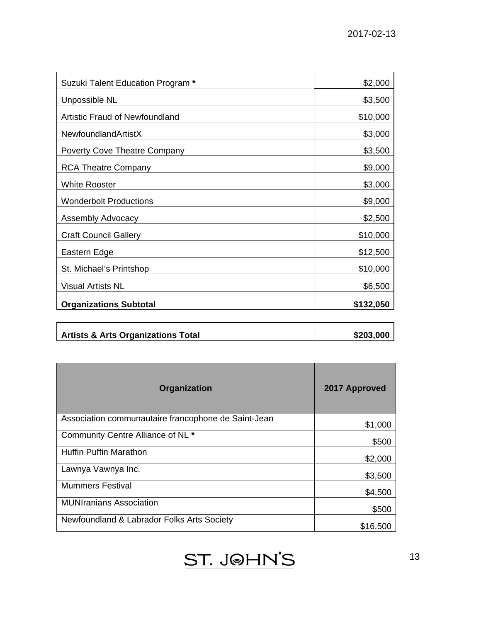| Suzuki Talent Education Program *     | \$2,000   |
|---------------------------------------|-----------|
| Unpossible NL                         | \$3,500   |
| <b>Artistic Fraud of Newfoundland</b> | \$10,000  |
| NewfoundlandArtistX                   | \$3,000   |
| <b>Poverty Cove Theatre Company</b>   | \$3,500   |
| <b>RCA Theatre Company</b>            | \$9,000   |
| <b>White Rooster</b>                  | \$3,000   |
| <b>Wonderbolt Productions</b>         | \$9,000   |
| <b>Assembly Advocacy</b>              | \$2,500   |
| <b>Craft Council Gallery</b>          | \$10,000  |
| Eastern Edge                          | \$12,500  |
| St. Michael's Printshop               | \$10,000  |
| <b>Visual Artists NL</b>              | \$6,500   |
| <b>Organizations Subtotal</b>         | \$132,050 |
|                                       |           |

| <b>Artists &amp; Arts Organizations Total</b> | \$203,000 |
|-----------------------------------------------|-----------|
|                                               |           |

| <b>Organization</b>                                 | 2017 Approved |
|-----------------------------------------------------|---------------|
| Association communautaire francophone de Saint-Jean | \$1,000       |
| Community Centre Alliance of NL *                   | \$500         |
| <b>Huffin Puffin Marathon</b>                       | \$2,000       |
| Lawnya Vawnya Inc.                                  | \$3,500       |
| <b>Mummers Festival</b>                             | \$4,500       |
| <b>MUNIranians Association</b>                      | \$500         |
| Newfoundland & Labrador Folks Arts Society          | \$16,500      |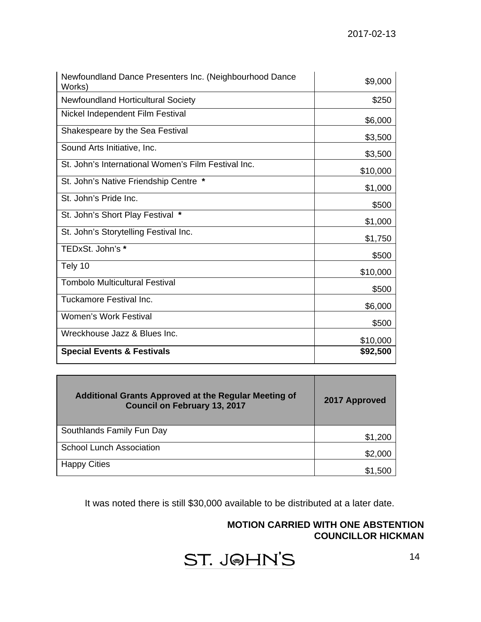| Newfoundland Dance Presenters Inc. (Neighbourhood Dance<br>Works) | \$9,000  |
|-------------------------------------------------------------------|----------|
| Newfoundland Horticultural Society                                | \$250    |
| Nickel Independent Film Festival                                  | \$6,000  |
| Shakespeare by the Sea Festival                                   | \$3,500  |
| Sound Arts Initiative, Inc.                                       | \$3,500  |
| St. John's International Women's Film Festival Inc.               | \$10,000 |
| St. John's Native Friendship Centre *                             | \$1,000  |
| St. John's Pride Inc.                                             | \$500    |
| St. John's Short Play Festival *                                  | \$1,000  |
| St. John's Storytelling Festival Inc.                             | \$1,750  |
| TEDxSt. John's *                                                  | \$500    |
| Tely 10                                                           | \$10,000 |
| <b>Tombolo Multicultural Festival</b>                             | \$500    |
| Tuckamore Festival Inc.                                           | \$6,000  |
| <b>Women's Work Festival</b>                                      | \$500    |
| Wreckhouse Jazz & Blues Inc.                                      | \$10,000 |
| <b>Special Events &amp; Festivals</b>                             | \$92,500 |

| <b>Additional Grants Approved at the Regular Meeting of</b><br><b>Council on February 13, 2017</b> | 2017 Approved |
|----------------------------------------------------------------------------------------------------|---------------|
| Southlands Family Fun Day                                                                          | \$1,200       |
| <b>School Lunch Association</b>                                                                    | \$2,000       |
| <b>Happy Cities</b>                                                                                | \$1.500       |

It was noted there is still \$30,000 available to be distributed at a later date.

# **MOTION CARRIED WITH ONE ABSTENTION COUNCILLOR HICKMAN**

ST. J@HN'S